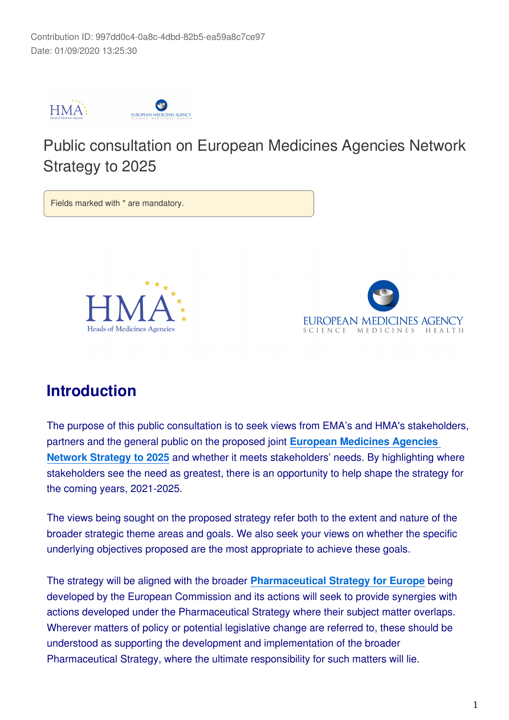

# Public consultation on European Medicines Agencies Network Strategy to 2025

Fields marked with \* are mandatory.





# **Introduction**

The purpose of this public consultation is to seek views from EMA's and HMA's stakeholders, partners and the general public on the proposed joint **[European Medicines Agencies](https://www.ema.europa.eu/en/documents/other/european-medicines-agencies-network-strategy-2025-protecting-public-health-time-rapid-change_en.pdf)  [Network Strategy to 2025](https://www.ema.europa.eu/en/documents/other/european-medicines-agencies-network-strategy-2025-protecting-public-health-time-rapid-change_en.pdf)** and whether it meets stakeholders' needs. By highlighting where stakeholders see the need as greatest, there is an opportunity to help shape the strategy for the coming years, 2021-2025.

The views being sought on the proposed strategy refer both to the extent and nature of the broader strategic theme areas and goals. We also seek your views on whether the specific underlying objectives proposed are the most appropriate to achieve these goals.

The strategy will be aligned with the broader **[Pharmaceutical Strategy for Europe](https://ec.europa.eu/info/law/better-regulation/have-your-say/initiatives/12421-Pharmaceutical-Strategy-Timely-patient-access-to-affordable-medicines/public-consultation)** being developed by the European Commission and its actions will seek to provide synergies with actions developed under the Pharmaceutical Strategy where their subject matter overlaps. Wherever matters of policy or potential legislative change are referred to, these should be understood as supporting the development and implementation of the broader Pharmaceutical Strategy, where the ultimate responsibility for such matters will lie.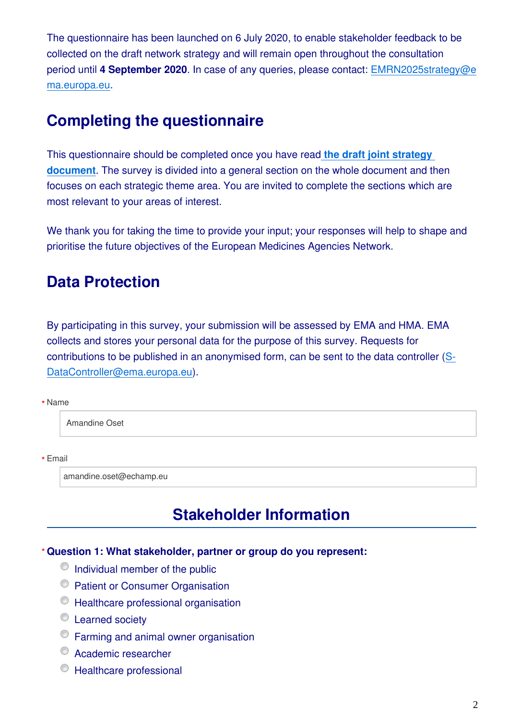The questionnaire has been launched on 6 July 2020, to enable stakeholder feedback to be collected on the draft network strategy and will remain open throughout the consultation period until **4 September 2020**. In case of any queries, please contact: EMRN2025strategy@e ma.europa.eu.

# **Completing the questionnaire**

This questionnaire should be completed once you have read **[the draft joint strategy](https://www.ema.europa.eu/en/documents/other/european-medicines-agencies-network-strategy-2025-protecting-public-health-time-rapid-change_en.pdf)  [document](https://www.ema.europa.eu/en/documents/other/european-medicines-agencies-network-strategy-2025-protecting-public-health-time-rapid-change_en.pdf)**. The survey is divided into a general section on the whole document and then focuses on each strategic theme area. You are invited to complete the sections which are most relevant to your areas of interest.

We thank you for taking the time to provide your input; your responses will help to shape and prioritise the future objectives of the European Medicines Agencies Network.

# **Data Protection**

By participating in this survey, your submission will be assessed by EMA and HMA. EMA collects and stores your personal data for the purpose of this survey. Requests for contributions to be published in an anonymised form, can be sent to the data controller (S-DataController@ema.europa.eu).

#### Name **\***

Amandine Oset

#### Email **\***

amandine.oset@echamp.eu

# **Stakeholder Information**

#### **Question 1: What stakeholder, partner or group do you represent: \***

- $\circ$  Individual member of the public
- <sup>©</sup> Patient or Consumer Organisation
- Healthcare professional organisation
- **Example Society**
- Farming and animal owner organisation
- Academic researcher
- Healthcare professional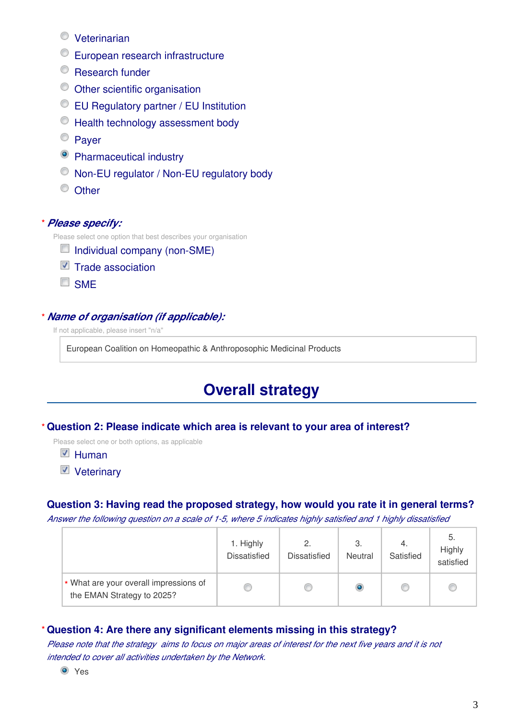- Veterinarian
- European research infrastructure
- <sup>©</sup> Research funder
- Other scientific organisation
- EU Regulatory partner / EU Institution
- $\bullet$  Health technology assessment body
- <sup>©</sup> Paver
- <sup>O</sup> Pharmaceutical industry
- $\bullet$  Non-EU regulator / Non-EU regulatory body
- <sup>O</sup> Other

#### *Please specify:* **\***

Please select one option that best describes your organisation

- $\Box$  Individual company (non-SME)
- $\blacksquare$  Trade association
- **SME**

#### *Name of organisation (if applicable):* **\***

If not applicable, please insert "n/a"

European Coalition on Homeopathic & Anthroposophic Medicinal Products

# **Overall strategy**

#### **Question 2: Please indicate which area is relevant to your area of interest? \***

Please select one or both options, as applicable

 $\blacksquare$  Human

■ Veterinary

#### **Question 3: Having read the proposed strategy, how would you rate it in general terms?**

*Answer the following question on a scale of 1-5, where 5 indicates highly satisfied and 1 highly dissatisfied*

|                                                                      | 1. Highly<br><b>Dissatisfied</b> | 2.<br><b>Dissatisfied</b> | З.<br>Neutral | 4.<br>Satisfied | -5.<br>Highly<br>satisfied |
|----------------------------------------------------------------------|----------------------------------|---------------------------|---------------|-----------------|----------------------------|
| * What are your overall impressions of<br>the EMAN Strategy to 2025? |                                  |                           |               | O               | œ                          |

#### **Question 4: Are there any significant elements missing in this strategy? \***

*Please note that the strategy aims to focus on major areas of interest for the next five years and it is not intended to cover all activities undertaken by the Network.*

**O** Yes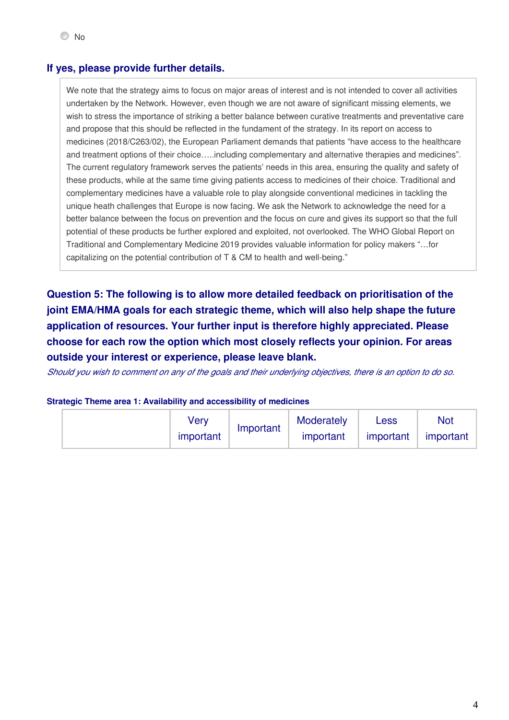#### **If yes, please provide further details.**

We note that the strategy aims to focus on major areas of interest and is not intended to cover all activities undertaken by the Network. However, even though we are not aware of significant missing elements, we wish to stress the importance of striking a better balance between curative treatments and preventative care and propose that this should be reflected in the fundament of the strategy. In its report on access to medicines (2018/C263/02), the European Parliament demands that patients "have access to the healthcare and treatment options of their choice…..including complementary and alternative therapies and medicines". The current regulatory framework serves the patients' needs in this area, ensuring the quality and safety of these products, while at the same time giving patients access to medicines of their choice. Traditional and complementary medicines have a valuable role to play alongside conventional medicines in tackling the unique heath challenges that Europe is now facing. We ask the Network to acknowledge the need for a better balance between the focus on prevention and the focus on cure and gives its support so that the full potential of these products be further explored and exploited, not overlooked. The WHO Global Report on Traditional and Complementary Medicine 2019 provides valuable information for policy makers "…for capitalizing on the potential contribution of T & CM to health and well-being."

**Question 5: The following is to allow more detailed feedback on prioritisation of the joint EMA/HMA goals for each strategic theme, which will also help shape the future application of resources. Your further input is therefore highly appreciated. Please choose for each row the option which most closely reflects your opinion. For areas outside your interest or experience, please leave blank.**

*Should you wish to comment on any of the goals and their underlying objectives, there is an option to do so.*

#### **Strategic Theme area 1: Availability and accessibility of medicines**

| √erv      | Important | Moderately | Less      | Not       |
|-----------|-----------|------------|-----------|-----------|
| important |           | important  | important | important |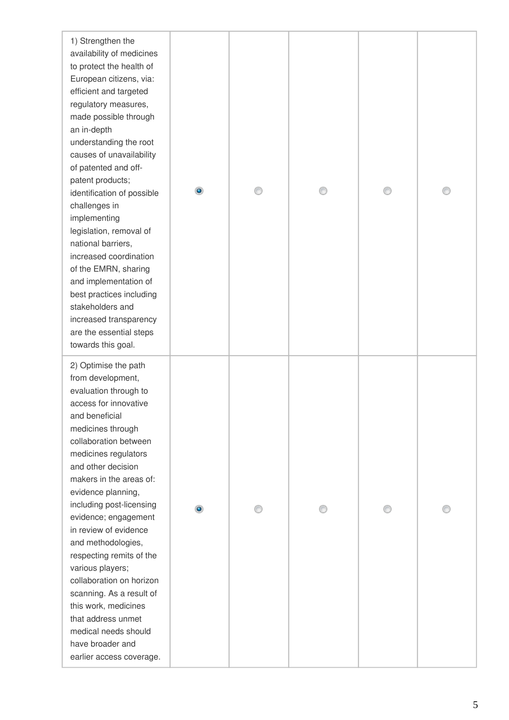| 1) Strengthen the<br>availability of medicines<br>to protect the health of<br>European citizens, via:<br>efficient and targeted<br>regulatory measures,<br>made possible through<br>an in-depth<br>understanding the root<br>causes of unavailability<br>of patented and off-<br>patent products;<br>identification of possible<br>challenges in<br>implementing<br>legislation, removal of<br>national barriers,<br>increased coordination<br>of the EMRN, sharing<br>and implementation of<br>best practices including<br>stakeholders and<br>increased transparency<br>are the essential steps<br>towards this goal. |  |  |  |
|-------------------------------------------------------------------------------------------------------------------------------------------------------------------------------------------------------------------------------------------------------------------------------------------------------------------------------------------------------------------------------------------------------------------------------------------------------------------------------------------------------------------------------------------------------------------------------------------------------------------------|--|--|--|
| 2) Optimise the path<br>from development,<br>evaluation through to<br>access for innovative<br>and beneficial<br>medicines through<br>collaboration between<br>medicines regulators<br>and other decision<br>makers in the areas of:<br>evidence planning,<br>including post-licensing<br>evidence; engagement<br>in review of evidence<br>and methodologies,<br>respecting remits of the<br>various players;<br>collaboration on horizon<br>scanning. As a result of<br>this work, medicines<br>that address unmet<br>medical needs should<br>have broader and<br>earlier access coverage.                             |  |  |  |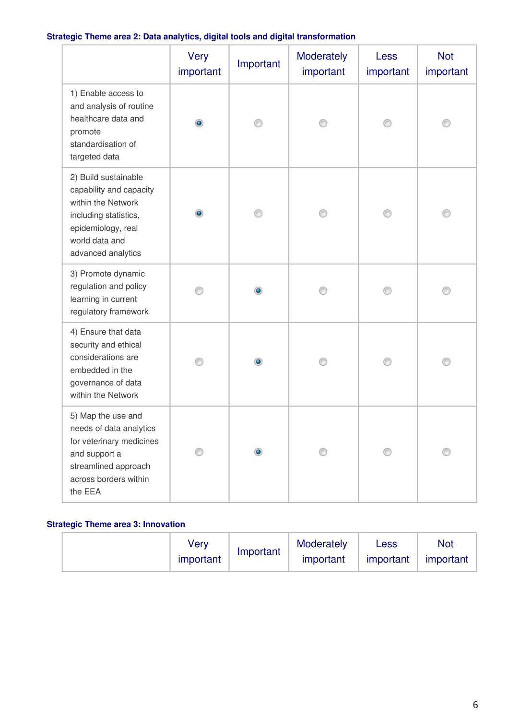### **Strategic Theme area 2: Data analytics, digital tools and digital transformation**

|                                                                                                                                                              | <b>Very</b><br>important | Important | Moderately<br>important | Less<br>important | <b>Not</b><br>important |
|--------------------------------------------------------------------------------------------------------------------------------------------------------------|--------------------------|-----------|-------------------------|-------------------|-------------------------|
| 1) Enable access to<br>and analysis of routine<br>healthcare data and<br>promote<br>standardisation of<br>targeted data                                      | $\bullet$                |           |                         |                   |                         |
| 2) Build sustainable<br>capability and capacity<br>within the Network<br>including statistics,<br>epidemiology, real<br>world data and<br>advanced analytics | $\bullet$                | ∩         |                         |                   |                         |
| 3) Promote dynamic<br>regulation and policy<br>learning in current<br>regulatory framework                                                                   |                          |           |                         |                   |                         |
| 4) Ensure that data<br>security and ethical<br>considerations are<br>embedded in the<br>governance of data<br>within the Network                             |                          | $\bullet$ |                         |                   |                         |
| 5) Map the use and<br>needs of data analytics<br>for veterinary medicines<br>and support a<br>streamlined approach<br>across borders within<br>the EEA       |                          |           |                         |                   |                         |

### **Strategic Theme area 3: Innovation**

| verv      | Important | Moderately | Less      | <b>Not</b> |
|-----------|-----------|------------|-----------|------------|
| important |           | important  | important | important  |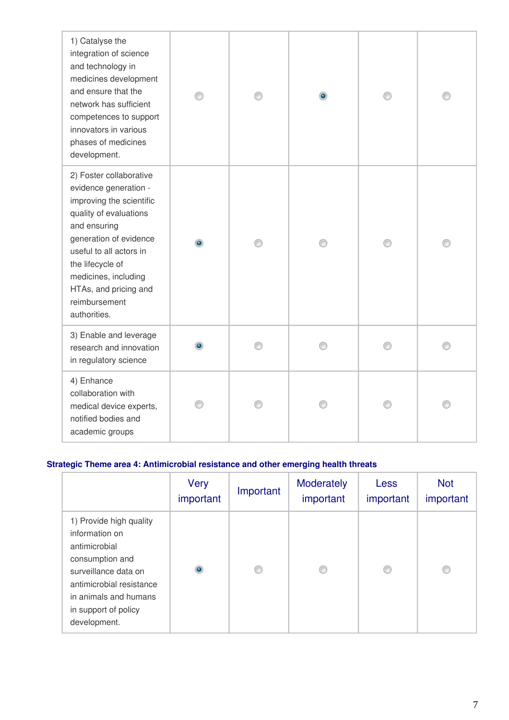| 1) Catalyse the<br>integration of science<br>and technology in<br>medicines development<br>and ensure that the<br>network has sufficient<br>competences to support<br>innovators in various<br>phases of medicines<br>development.                                                | ∩         |  |  |
|-----------------------------------------------------------------------------------------------------------------------------------------------------------------------------------------------------------------------------------------------------------------------------------|-----------|--|--|
| 2) Foster collaborative<br>evidence generation -<br>improving the scientific<br>quality of evaluations<br>and ensuring<br>generation of evidence<br>useful to all actors in<br>the lifecycle of<br>medicines, including<br>HTAs, and pricing and<br>reimbursement<br>authorities. | $\bullet$ |  |  |
| 3) Enable and leverage<br>research and innovation<br>in regulatory science                                                                                                                                                                                                        |           |  |  |
| 4) Enhance<br>collaboration with<br>medical device experts,<br>notified bodies and<br>academic groups                                                                                                                                                                             |           |  |  |

### **Strategic Theme area 4: Antimicrobial resistance and other emerging health threats**

|                                                                                                                                                                                                    | Very<br>important | Important | Moderately<br>important | <b>Less</b><br>important | <b>Not</b><br>important |
|----------------------------------------------------------------------------------------------------------------------------------------------------------------------------------------------------|-------------------|-----------|-------------------------|--------------------------|-------------------------|
| 1) Provide high quality<br>information on<br>antimicrobial<br>consumption and<br>surveillance data on<br>antimicrobial resistance<br>in animals and humans<br>in support of policy<br>development. | $\bullet$         | ∩         |                         | €                        |                         |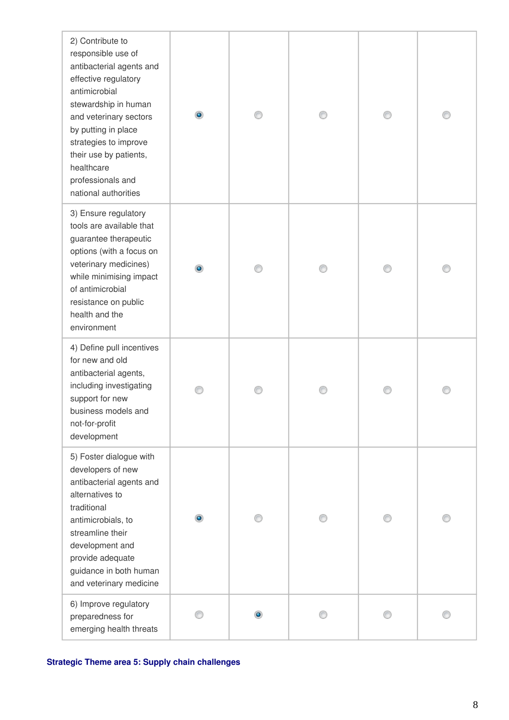| 2) Contribute to<br>responsible use of<br>antibacterial agents and<br>effective regulatory<br>antimicrobial<br>stewardship in human<br>and veterinary sectors<br>by putting in place<br>strategies to improve<br>their use by patients,<br>healthcare<br>professionals and<br>national authorities | $\bullet$ |  |  |
|----------------------------------------------------------------------------------------------------------------------------------------------------------------------------------------------------------------------------------------------------------------------------------------------------|-----------|--|--|
| 3) Ensure regulatory<br>tools are available that<br>guarantee therapeutic<br>options (with a focus on<br>veterinary medicines)<br>while minimising impact<br>of antimicrobial<br>resistance on public<br>health and the<br>environment                                                             | $\bullet$ |  |  |
| 4) Define pull incentives<br>for new and old<br>antibacterial agents,<br>including investigating<br>support for new<br>business models and<br>not-for-profit<br>development                                                                                                                        |           |  |  |
| 5) Foster dialogue with<br>developers of new<br>antibacterial agents and<br>alternatives to<br>traditional<br>antimicrobials, to<br>streamline their<br>development and<br>provide adequate<br>guidance in both human<br>and veterinary medicine                                                   | $\bullet$ |  |  |
| 6) Improve regulatory<br>preparedness for<br>emerging health threats                                                                                                                                                                                                                               |           |  |  |

**Strategic Theme area 5: Supply chain challenges**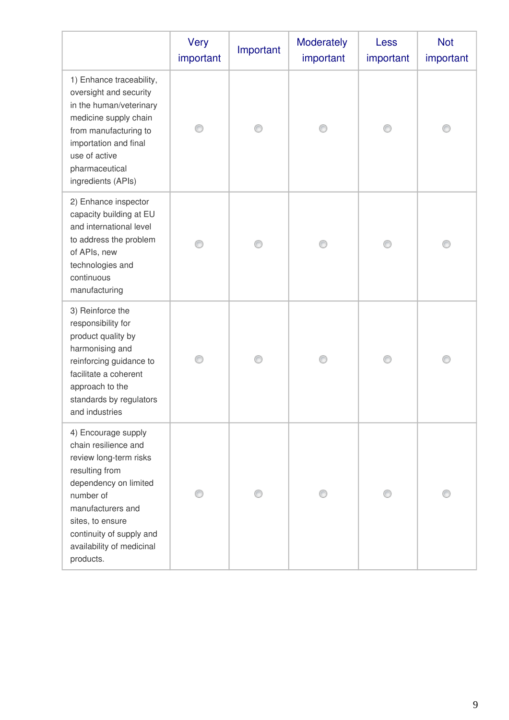|                                                                                                                                                                                                                                              | <b>Very</b><br>important | Important | Moderately<br>important | Less<br>important | <b>Not</b><br>important |
|----------------------------------------------------------------------------------------------------------------------------------------------------------------------------------------------------------------------------------------------|--------------------------|-----------|-------------------------|-------------------|-------------------------|
| 1) Enhance traceability,<br>oversight and security<br>in the human/veterinary<br>medicine supply chain<br>from manufacturing to<br>importation and final<br>use of active<br>pharmaceutical<br>ingredients (APIs)                            |                          |           |                         |                   |                         |
| 2) Enhance inspector<br>capacity building at EU<br>and international level<br>to address the problem<br>of APIs, new<br>technologies and<br>continuous<br>manufacturing                                                                      | ⋒                        |           |                         |                   |                         |
| 3) Reinforce the<br>responsibility for<br>product quality by<br>harmonising and<br>reinforcing guidance to<br>facilitate a coherent<br>approach to the<br>standards by regulators<br>and industries                                          |                          |           |                         |                   |                         |
| 4) Encourage supply<br>chain resilience and<br>review long-term risks<br>resulting from<br>dependency on limited<br>number of<br>manufacturers and<br>sites, to ensure<br>continuity of supply and<br>availability of medicinal<br>products. |                          |           |                         |                   |                         |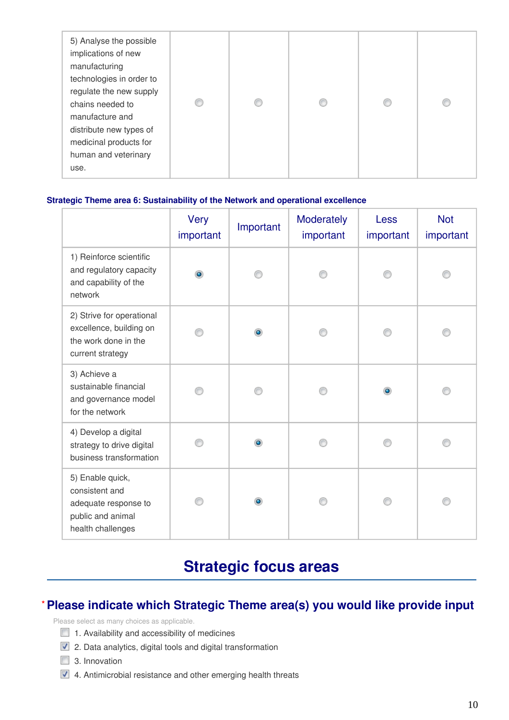| 5) Analyse the possible<br>implications of new<br>manufacturing<br>technologies in order to<br>regulate the new supply<br>chains needed to<br>manufacture and<br>distribute new types of<br>medicinal products for<br>human and veterinary<br>use. |  |  |  | O |  |
|----------------------------------------------------------------------------------------------------------------------------------------------------------------------------------------------------------------------------------------------------|--|--|--|---|--|
|----------------------------------------------------------------------------------------------------------------------------------------------------------------------------------------------------------------------------------------------------|--|--|--|---|--|

#### **Strategic Theme area 6: Sustainability of the Network and operational excellence**

|                                                                                                      | <b>Very</b><br>important | Important | Moderately<br>important | <b>Less</b><br>important | <b>Not</b><br>important |
|------------------------------------------------------------------------------------------------------|--------------------------|-----------|-------------------------|--------------------------|-------------------------|
| 1) Reinforce scientific<br>and regulatory capacity<br>and capability of the<br>network               | $\bullet$                |           |                         |                          |                         |
| 2) Strive for operational<br>excellence, building on<br>the work done in the<br>current strategy     |                          | ۰         |                         |                          |                         |
| 3) Achieve a<br>sustainable financial<br>and governance model<br>for the network                     |                          |           |                         | $\bullet$                |                         |
| 4) Develop a digital<br>strategy to drive digital<br>business transformation                         |                          | ۰         |                         |                          |                         |
| 5) Enable quick,<br>consistent and<br>adequate response to<br>public and animal<br>health challenges |                          | $\bullet$ |                         |                          |                         |

# **Strategic focus areas**

# **Please indicate which Strategic Theme area(s) you would like provide input \***

Please select as many choices as applicable.

- $\Box$  1. Availability and accessibility of medicines
- **2**. Data analytics, digital tools and digital transformation
- $\Box$  3. Innovation
- 4. Antimicrobial resistance and other emerging health threats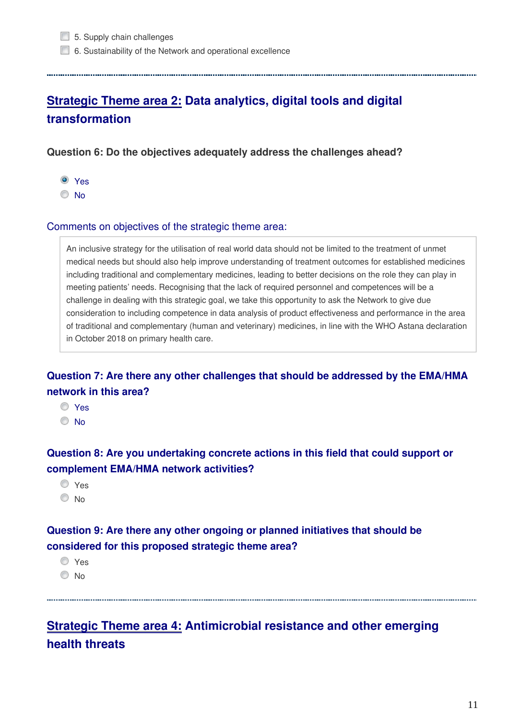6. Sustainability of the Network and operational excellence

# **Strategic Theme area 2: Data analytics, digital tools and digital transformation**

**Question 6: Do the objectives adequately address the challenges ahead?**

- Yes
- $\odot$  No.

#### Comments on objectives of the strategic theme area:

An inclusive strategy for the utilisation of real world data should not be limited to the treatment of unmet medical needs but should also help improve understanding of treatment outcomes for established medicines including traditional and complementary medicines, leading to better decisions on the role they can play in meeting patients' needs. Recognising that the lack of required personnel and competences will be a challenge in dealing with this strategic goal, we take this opportunity to ask the Network to give due consideration to including competence in data analysis of product effectiveness and performance in the area of traditional and complementary (human and veterinary) medicines, in line with the WHO Astana declaration in October 2018 on primary health care.

**Question 7: Are there any other challenges that should be addressed by the EMA/HMA network in this area?**

Yes <sup>O</sup>No

**Question 8: Are you undertaking concrete actions in this field that could support or complement EMA/HMA network activities?**

- O Yes
- O No

# **Question 9: Are there any other ongoing or planned initiatives that should be considered for this proposed strategic theme area?**

Yes

© No

**Strategic Theme area 4: Antimicrobial resistance and other emerging health threats**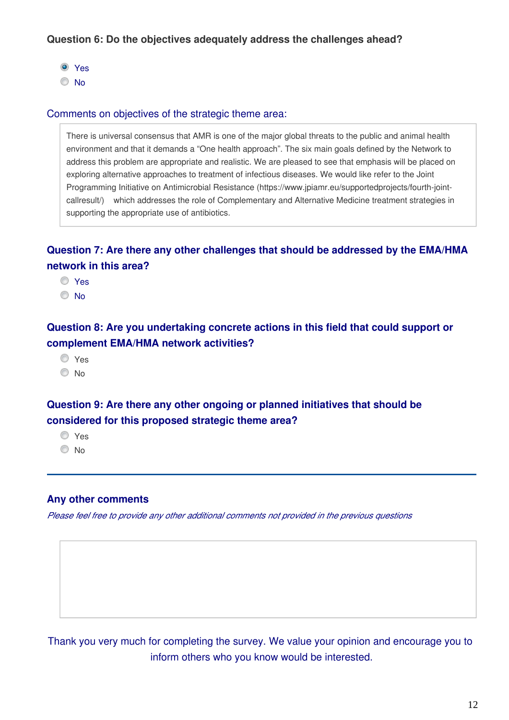### **Question 6: Do the objectives adequately address the challenges ahead?**

Yes

No

#### Comments on objectives of the strategic theme area:

There is universal consensus that AMR is one of the major global threats to the public and animal health environment and that it demands a "One health approach". The six main goals defined by the Network to address this problem are appropriate and realistic. We are pleased to see that emphasis will be placed on exploring alternative approaches to treatment of infectious diseases. We would like refer to the Joint Programming Initiative on Antimicrobial Resistance (https://www.jpiamr.eu/supportedprojects/fourth-jointcallresult/) which addresses the role of Complementary and Alternative Medicine treatment strategies in supporting the appropriate use of antibiotics.

# **Question 7: Are there any other challenges that should be addressed by the EMA/HMA network in this area?**

Yes

© No

# **Question 8: Are you undertaking concrete actions in this field that could support or complement EMA/HMA network activities?**

O Yes

<sup>O</sup>No

# **Question 9: Are there any other ongoing or planned initiatives that should be considered for this proposed strategic theme area?**

Yes

 $\odot$  No

### **Any other comments**

*Please feel free to provide any other additional comments not provided in the previous questions*

Thank you very much for completing the survey. We value your opinion and encourage you to inform others who you know would be interested.